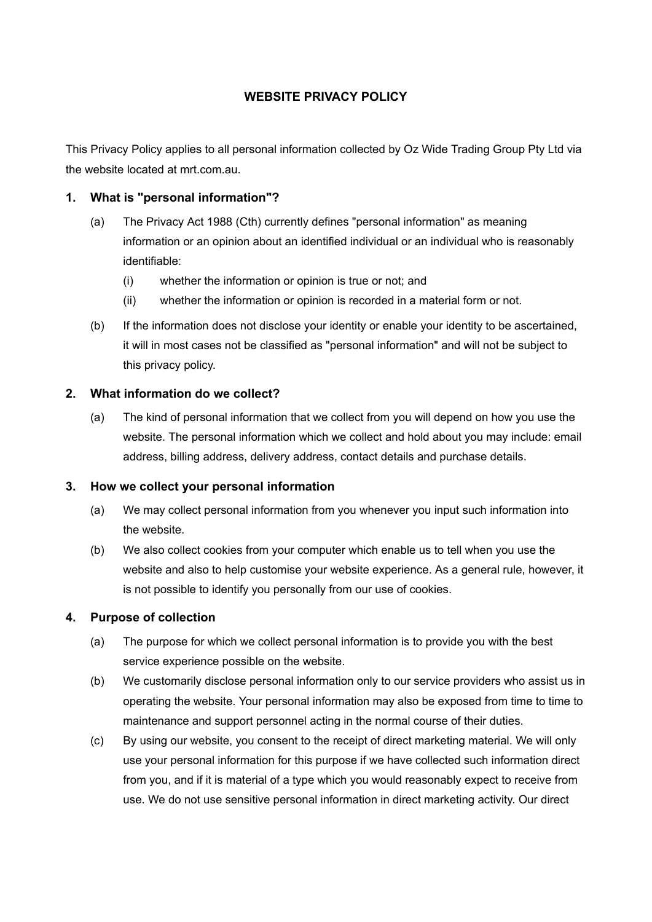# **WEBSITE PRIVACY POLICY**

This Privacy Policy applies to all personal information collected by Oz Wide Trading Group Pty Ltd via the website located at mrt.com.au.

### **1. What is "personal information"?**

- (a) The Privacy Act 1988 (Cth) currently defines "personal information" as meaning information or an opinion about an identified individual or an individual who is reasonably identifiable:
	- (i) whether the information or opinion is true or not; and
	- (ii) whether the information or opinion is recorded in a material form or not.
- (b) If the information does not disclose your identity or enable your identity to be ascertained, it will in most cases not be classified as "personal information" and will not be subject to this privacy policy.

## **2. What information do we collect?**

(a) The kind of personal information that we collect from you will depend on how you use the website. The personal information which we collect and hold about you may include: email address, billing address, delivery address, contact details and purchase details.

#### **3. How we collect your personal information**

- (a) We may collect personal information from you whenever you input such information into the website.
- (b) We also collect cookies from your computer which enable us to tell when you use the website and also to help customise your website experience. As a general rule, however, it is not possible to identify you personally from our use of cookies.

### **4. Purpose of collection**

- (a) The purpose for which we collect personal information is to provide you with the best service experience possible on the website.
- (b) We customarily disclose personal information only to our service providers who assist us in operating the website. Your personal information may also be exposed from time to time to maintenance and support personnel acting in the normal course of their duties.
- $(c)$ By using our website, you consent to the receipt of direct marketing material. We will only use your personal information for this purpose if we have collected such information direct from you, and if it is material of a type which you would reasonably expect to receive from use. We do not use sensitive personal information in direct marketing activity. Our direct